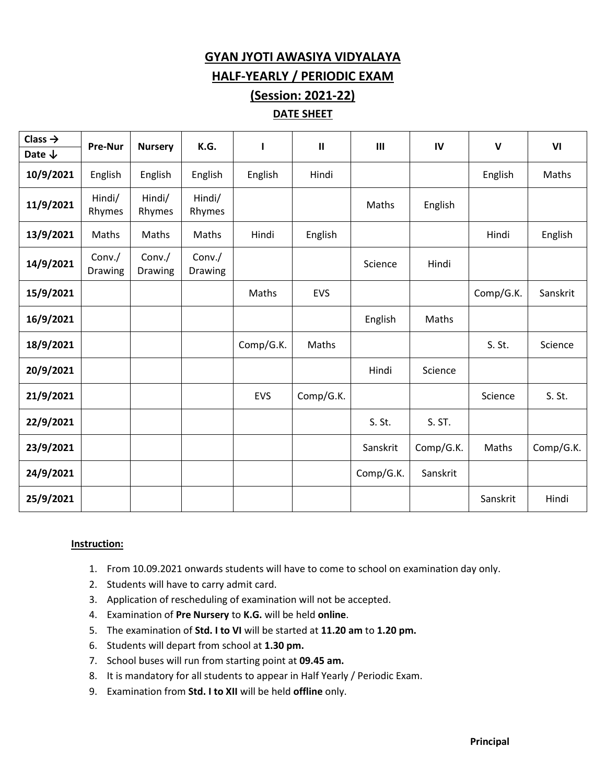## **GYAN JYOTI AWASIYA VIDYALAYA**

**HALF-YEARLY / PERIODIC EXAM**

## **(Session: 2021-22) DATE SHEET**

| Class $\rightarrow$ | <b>Pre-Nur</b>    | <b>Nursery</b>    | K.G.              | п         | $\mathbf{H}$ | $\mathbf{III}$ | IV        | $\mathbf v$ | VI        |
|---------------------|-------------------|-------------------|-------------------|-----------|--------------|----------------|-----------|-------------|-----------|
| Date $\downarrow$   |                   |                   |                   |           |              |                |           |             |           |
| 10/9/2021           | English           | English           | English           | English   | Hindi        |                |           | English     | Maths     |
| 11/9/2021           | Hindi/<br>Rhymes  | Hindi/<br>Rhymes  | Hindi/<br>Rhymes  |           |              | Maths          | English   |             |           |
| 13/9/2021           | Maths             | Maths             | Maths             | Hindi     | English      |                |           | Hindi       | English   |
| 14/9/2021           | Conv./<br>Drawing | Conv./<br>Drawing | Conv./<br>Drawing |           |              | Science        | Hindi     |             |           |
| 15/9/2021           |                   |                   |                   | Maths     | <b>EVS</b>   |                |           | Comp/G.K.   | Sanskrit  |
| 16/9/2021           |                   |                   |                   |           |              | English        | Maths     |             |           |
| 18/9/2021           |                   |                   |                   | Comp/G.K. | Maths        |                |           | S. St.      | Science   |
| 20/9/2021           |                   |                   |                   |           |              | Hindi          | Science   |             |           |
| 21/9/2021           |                   |                   |                   | EVS       | Comp/G.K.    |                |           | Science     | S. St.    |
| 22/9/2021           |                   |                   |                   |           |              | S. St.         | S. ST.    |             |           |
| 23/9/2021           |                   |                   |                   |           |              | Sanskrit       | Comp/G.K. | Maths       | Comp/G.K. |
| 24/9/2021           |                   |                   |                   |           |              | Comp/G.K.      | Sanskrit  |             |           |
| 25/9/2021           |                   |                   |                   |           |              |                |           | Sanskrit    | Hindi     |

#### **Instruction:**

- 1. From 10.09.2021 onwards students will have to come to school on examination day only.
- 2. Students will have to carry admit card.
- 3. Application of rescheduling of examination will not be accepted.
- 4. Examination of **Pre Nursery** to **K.G.** will be held **online**.
- 5. The examination of **Std. I to VI** will be started at **11.20 am** to **1.20 pm.**
- 6. Students will depart from school at **1.30 pm.**
- 7. School buses will run from starting point at **09.45 am.**
- 8. It is mandatory for all students to appear in Half Yearly / Periodic Exam.
- 9. Examination from **Std. I to XII** will be held **offline** only.